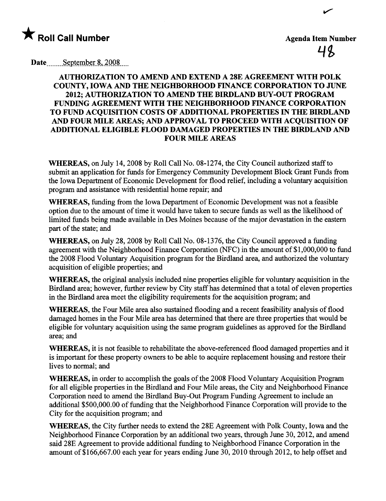

48

..

Date  $S$ -eptember 8, 2008

## AUTHORIZATION TO AMEND AND EXTEND A 28E AGREEMENT WITH POLK COUNTY, IOWA AND THE NEIGHBORHOOD FINANCE CORPORATION TO JUNE 2012; AUTHORIZATION TO AMEND THE BIRDLAND BUY-OUT PROGRAM FUNDING AGREEMENT WITH THE NEIGHBORHOOD FINANCE CORPORATION TO FUND ACQUISITION COSTS OF ADDITIONAL PROPERTIES IN THE BIRDLAND AND FOUR MILE AREAS; AND APPROVAL TO PROCEED WITH ACQUISITION OF ADDITIONAL ELIGIBLE FLOOD DAMGED PROPERTIES IN THE BIRDLAND AND FOUR MILE AREAS

WHEREAS, on July 14, 2008 by Roll Call No. 08-1274, the City Council authorized staff to submit an application for fuds for Emergency Communty Development Block Grant Funds from the Iowa Department of Economic Development for flood relief, including a voluntary acquisition program and assistace with residential home repair; and

WHEREAS, funding from the Iowa Department of Economic Development was not a feasible option due to the amount of time it would have taken to secure funds as well as the likelihood of limited funds being made available in Des Moines because of the major devastation in the eastern part of the state; and

WHEREAS, on July 28, 2008 by Roll Call No. 08-1376, the City Council approved a funding agreement with the Neighborhood Finance Corporation (NFC) in the amount of \$1,000,000 to fud the 2008 Flood Voluntary Acquisition program for the Birdland area, and authorized the voluntary acquisition of eligible properties; and

WHEREAS, the original analysis included nine properties eligible for voluntary acquisition in the Birdland area; however, further review by City staff has determined that a total of eleven properties in the Birdland area meet the eligibilty requirements for the acquisition program; and

WHEREAS, the Four Mile area also sustained flooding and a recent feasibility analysis of flood damaged homes in the Four Mile area has determined that there are thee properties that would be eligible for voluntary acquisition using the same program guidelines as approved for the Birdland area; and

WHEREAS, it is not feasible to rehabiltate the above-referenced flood damaged properties and it is important for these property owners to be able to acquire replacement housing and restore their lives to normal; and

WHEREAS, in order to accomplish the goals of the 2008 Flood Voluntary Acquisition Program for all eligible properties in the Birdland and Four Mile areas, the City and Neighborhood Finance Corporation need to amend the Birdland Buy-Out Program Funding Agreement to include an additional \$500,000.00 of fuding that the Neighborhood Finance Corporation will provide to the City for the acquisition program; and

WHEREAS, the City further needs to extend the 28E Agreement with Polk County, Iowa and the Neighborhood Finance Corporation by an additional two years, through June 30, 2012, and amend said 28E Agreement to provide additional fuding to Neighborhood Finance Corporation in the amount of\$166,667.00 each year for years ending June 30, 2010 though 2012, to help offset and